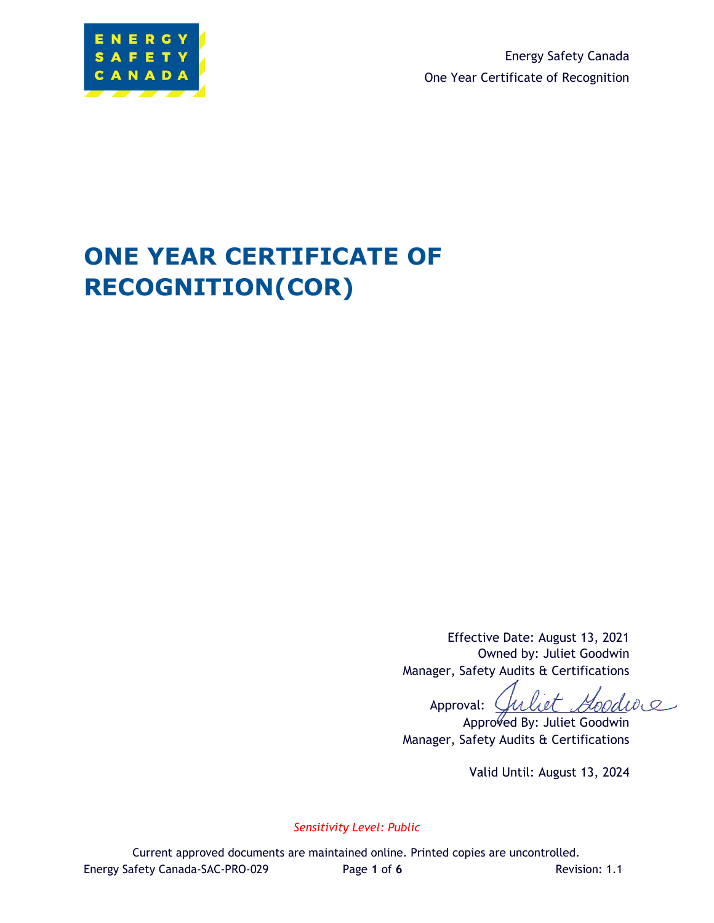

Energy Safety Canada One Year Certificate of Recognition

# **ONE YEAR CERTIFICATE OF RECOGNITION(COR)**

Effective Date: August 13, 2021 Owned by: Juliet Goodwin Manager, Safety Audits & Certifications

fuliet Goodwie Approval:  $\bigcup$ 

Approved By: Juliet Goodwin Manager, Safety Audits & Certifications

Valid Until: August 13, 2024

*Sensitivity Level: Public*

Current approved documents are maintained online. Printed copies are uncontrolled. Energy Safety Canada-SAC-PRO-029 Page 1 of 6 Revision: 1.1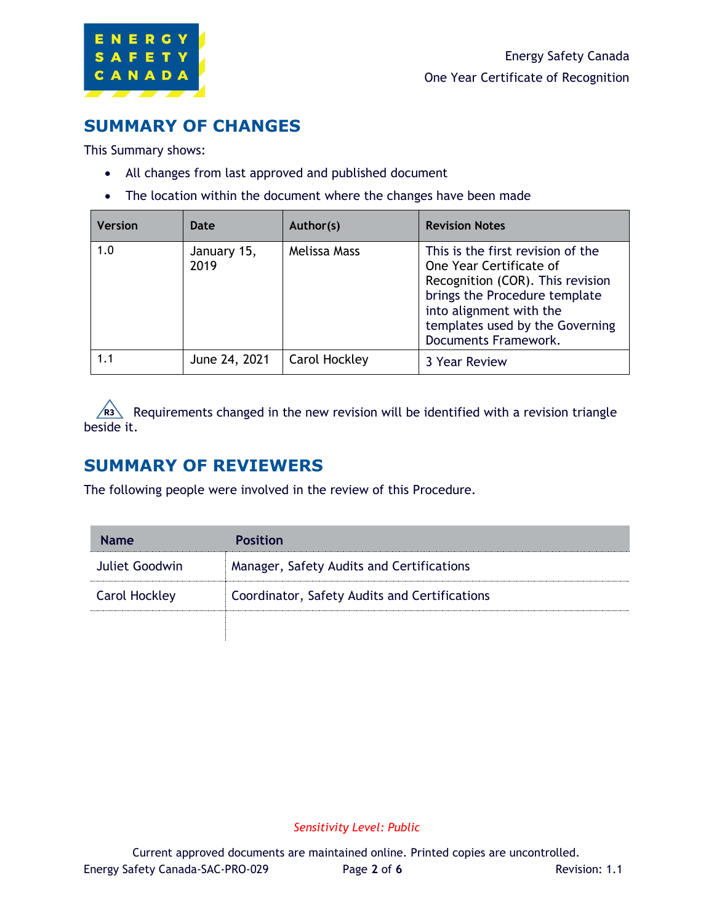

# **SUMMARY OF CHANGES**

This Summary shows:

- All changes from last approved and published document
- The location within the document where the changes have been made

| <b>Version</b> | Date                | Author(s)     | <b>Revision Notes</b>                                                                                                                                                                                                   |  |
|----------------|---------------------|---------------|-------------------------------------------------------------------------------------------------------------------------------------------------------------------------------------------------------------------------|--|
| 1.0            | January 15,<br>2019 | Melissa Mass  | This is the first revision of the<br>One Year Certificate of<br>Recognition (COR). This revision<br>brings the Procedure template<br>into alignment with the<br>templates used by the Governing<br>Documents Framework. |  |
| 1.1            | June 24, 2021       | Carol Hockley | 3 Year Review                                                                                                                                                                                                           |  |

R<sub>3</sub> Requirements changed in the new revision will be identified with a revision triangle beside it.

# **SUMMARY OF REVIEWERS**

The following people were involved in the review of this Procedure.

| <b>Name</b>          | <b>Position</b>                               |
|----------------------|-----------------------------------------------|
| Juliet Goodwin       | Manager, Safety Audits and Certifications     |
| <b>Carol Hockley</b> | Coordinator, Safety Audits and Certifications |
|                      |                                               |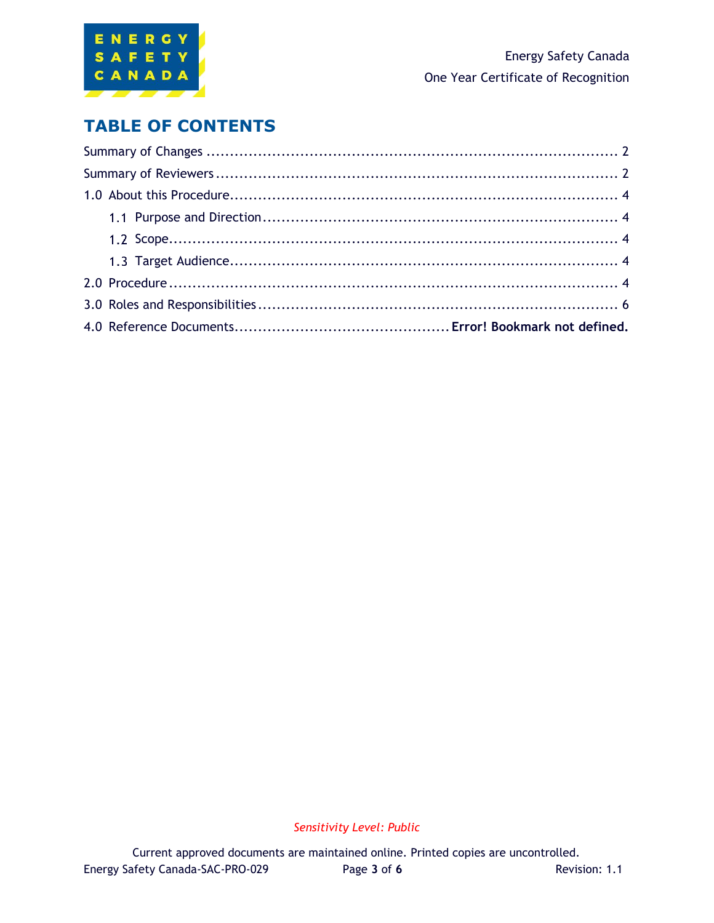

# **TABLE OF CONTENTS**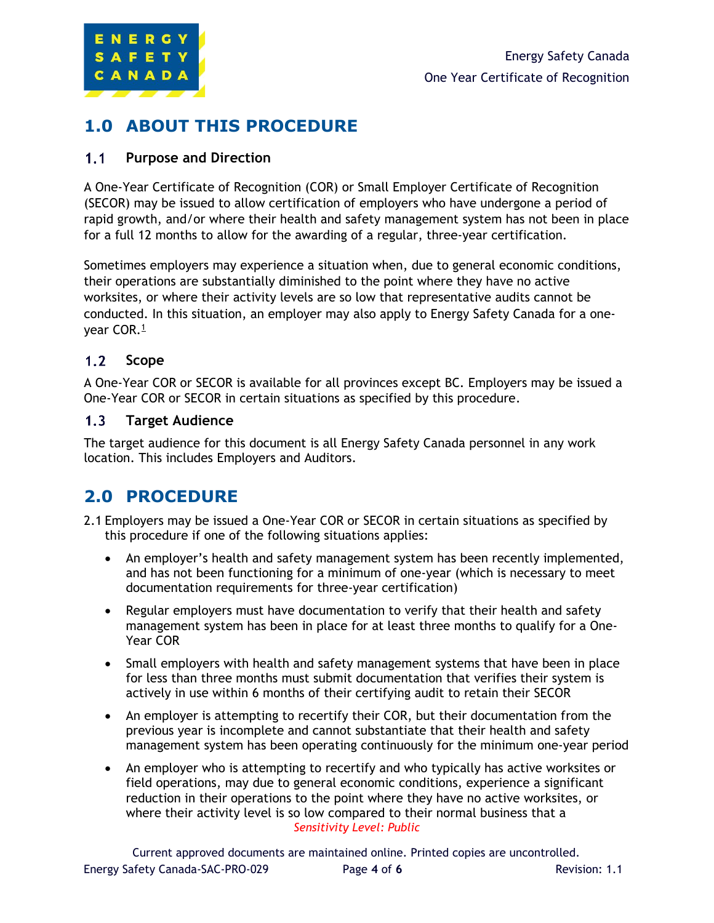

# **1.0 ABOUT THIS PROCEDURE**

#### $1.1$ **Purpose and Direction**

A One-Year Certificate of Recognition (COR) or Small Employer Certificate of Recognition (SECOR) may be issued to allow certification of employers who have undergone a period of rapid growth, and/or where their health and safety management system has not been in place for a full 12 months to allow for the awarding of a regular, three-year certification.

Sometimes employers may experience a situation when, due to general economic conditions, their operations are substantially diminished to the point where they have no active worksites, or where their activity levels are so low that representative audits cannot be conducted. In this situation, an employer may also apply to Energy Safety Canada for a oneyear COR.<sup>1</sup>

#### $1.2$ **Scope**

A One-Year COR or SECOR is available for all provinces except BC. Employers may be issued a One-Year COR or SECOR in certain situations as specified by this procedure.

#### $1.3<sub>1</sub>$ **Target Audience**

The target audience for this document is all Energy Safety Canada personnel in any work location. This includes Employers and Auditors.

# **2.0 PROCEDURE**

- 2.1 Employers may be issued a One-Year COR or SECOR in certain situations as specified by this procedure if one of the following situations applies:
	- An employer's health and safety management system has been recently implemented, and has not been functioning for a minimum of one-year (which is necessary to meet documentation requirements for three-year certification)
	- Regular employers must have documentation to verify that their health and safety management system has been in place for at least three months to qualify for a One-Year COR
	- Small employers with health and safety management systems that have been in place for less than three months must submit documentation that verifies their system is actively in use within 6 months of their certifying audit to retain their SECOR
	- An employer is attempting to recertify their COR, but their documentation from the previous year is incomplete and cannot substantiate that their health and safety management system has been operating continuously for the minimum one-year period
	- *Sensitivity Level: Public* • An employer who is attempting to recertify and who typically has active worksites or field operations, may due to general economic conditions, experience a significant reduction in their operations to the point where they have no active worksites, or where their activity level is so low compared to their normal business that a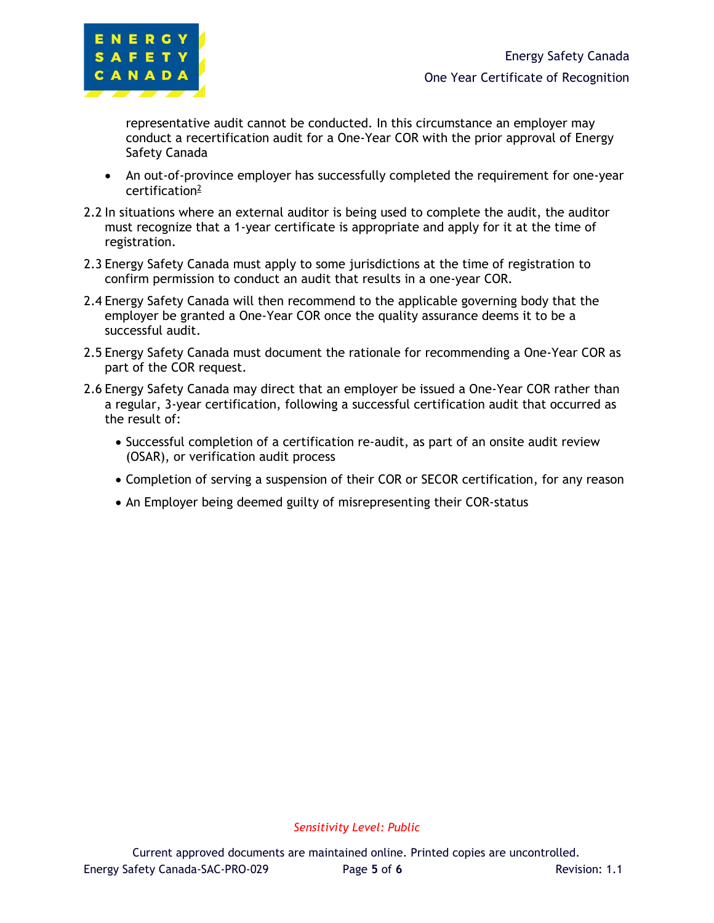

representative audit cannot be conducted. In this circumstance an employer may conduct a recertification audit for a One-Year COR with the prior approval of Energy Safety Canada

- An out-of-province employer has successfully completed the requirement for one-year certification<sup>2</sup>
- 2.2 In situations where an external auditor is being used to complete the audit, the auditor must recognize that a 1-year certificate is appropriate and apply for it at the time of registration.
- 2.3 Energy Safety Canada must apply to some jurisdictions at the time of registration to confirm permission to conduct an audit that results in a one-year COR.
- 2.4 Energy Safety Canada will then recommend to the applicable governing body that the employer be granted a One-Year COR once the quality assurance deems it to be a successful audit.
- 2.5 Energy Safety Canada must document the rationale for recommending a One-Year COR as part of the COR request.
- 2.6 Energy Safety Canada may direct that an employer be issued a One-Year COR rather than a regular, 3-year certification, following a successful certification audit that occurred as the result of:
	- Successful completion of a certification re-audit, as part of an onsite audit review (OSAR), or verification audit process
	- Completion of serving a suspension of their COR or SECOR certification, for any reason
	- An Employer being deemed guilty of misrepresenting their COR-status